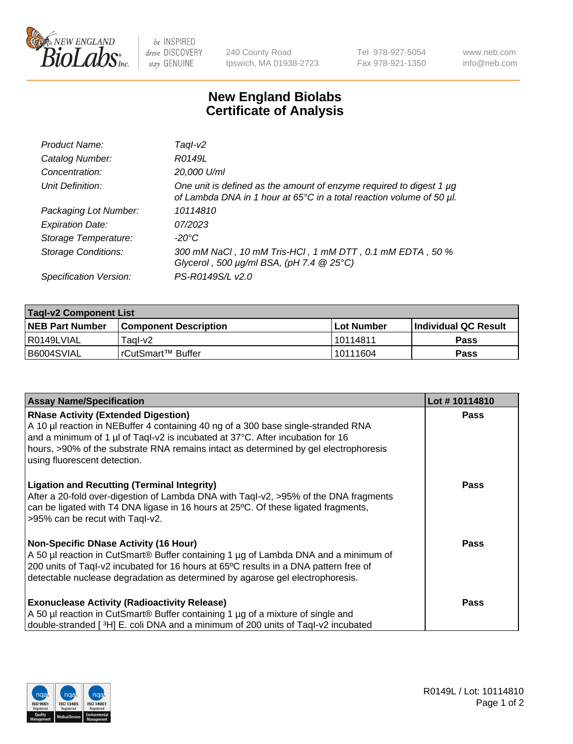

 $be$  INSPIRED drive DISCOVERY stay GENUINE

240 County Road Ipswich, MA 01938-2723 Tel 978-927-5054 Fax 978-921-1350 www.neb.com info@neb.com

## **New England Biolabs Certificate of Analysis**

| Product Name:              | Taql-v2                                                                                                                                     |
|----------------------------|---------------------------------------------------------------------------------------------------------------------------------------------|
| Catalog Number:            | R0149L                                                                                                                                      |
| Concentration:             | 20,000 U/ml                                                                                                                                 |
| Unit Definition:           | One unit is defined as the amount of enzyme required to digest 1 µg<br>of Lambda DNA in 1 hour at 65°C in a total reaction volume of 50 µl. |
| Packaging Lot Number:      | 10114810                                                                                                                                    |
| <b>Expiration Date:</b>    | 07/2023                                                                                                                                     |
| Storage Temperature:       | $-20^{\circ}$ C                                                                                                                             |
| <b>Storage Conditions:</b> | 300 mM NaCl, 10 mM Tris-HCl, 1 mM DTT, 0.1 mM EDTA, 50 %<br>Glycerol, 500 $\mu$ g/ml BSA, (pH 7.4 $@25°C$ )                                 |
| Specification Version:     | PS-R0149S/L v2.0                                                                                                                            |

| <b>Tagl-v2 Component List</b> |                         |             |                             |  |  |
|-------------------------------|-------------------------|-------------|-----------------------------|--|--|
| <b>NEB Part Number</b>        | l Component Description | ⊺Lot Number | <b>Individual QC Result</b> |  |  |
| I R0149LVIAL                  | Taal-v2                 | 10114811    | Pass                        |  |  |
| I B6004SVIAL                  | I rCutSmart™ Buffer_    | 10111604    | Pass                        |  |  |

| <b>Assay Name/Specification</b>                                                                                                                                                                                                                                                                                                           | Lot #10114810 |
|-------------------------------------------------------------------------------------------------------------------------------------------------------------------------------------------------------------------------------------------------------------------------------------------------------------------------------------------|---------------|
| <b>RNase Activity (Extended Digestion)</b><br>A 10 µl reaction in NEBuffer 4 containing 40 ng of a 300 base single-stranded RNA<br>and a minimum of 1 µl of Taql-v2 is incubated at 37°C. After incubation for 16<br>hours, >90% of the substrate RNA remains intact as determined by gel electrophoresis<br>using fluorescent detection. | <b>Pass</b>   |
| <b>Ligation and Recutting (Terminal Integrity)</b><br>After a 20-fold over-digestion of Lambda DNA with Taql-v2, >95% of the DNA fragments<br>can be ligated with T4 DNA ligase in 16 hours at 25°C. Of these ligated fragments,<br>>95% can be recut with Tagl-v2.                                                                       | Pass          |
| <b>Non-Specific DNase Activity (16 Hour)</b><br>A 50 µl reaction in CutSmart® Buffer containing 1 µg of Lambda DNA and a minimum of<br>200 units of Taql-v2 incubated for 16 hours at 65°C results in a DNA pattern free of<br>detectable nuclease degradation as determined by agarose gel electrophoresis.                              | Pass          |
| <b>Exonuclease Activity (Radioactivity Release)</b><br>A 50 µl reaction in CutSmart® Buffer containing 1 µg of a mixture of single and<br>double-stranded [3H] E. coli DNA and a minimum of 200 units of Taql-v2 incubated                                                                                                                | Pass          |